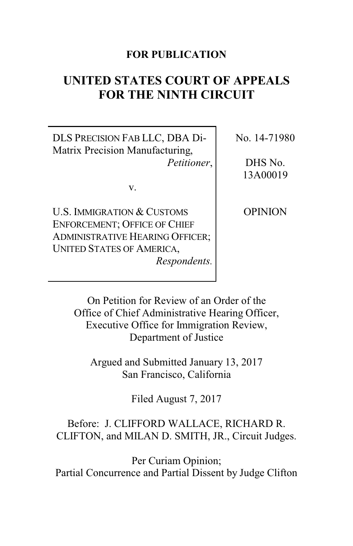# **FOR PUBLICATION**

# **UNITED STATES COURT OF APPEALS FOR THE NINTH CIRCUIT**

DLS PRECISION FAB LLC, DBA Di-Matrix Precision Manufacturing, *Petitioner*,

v.

U.S. IMMIGRATION & CUSTOMS ENFORCEMENT; OFFICE OF CHIEF ADMINISTRATIVE HEARING OFFICER; UNITED STATES OF AMERICA, *Respondents.* No. 14-71980

DHS No. 13A00019

**OPINION** 

On Petition for Review of an Order of the Office of Chief Administrative Hearing Officer, Executive Office for Immigration Review, Department of Justice

Argued and Submitted January 13, 2017 San Francisco, California

Filed August 7, 2017

# Before: J. CLIFFORD WALLACE, RICHARD R. CLIFTON, and MILAN D. SMITH, JR., Circuit Judges.

Per Curiam Opinion; Partial Concurrence and Partial Dissent by Judge Clifton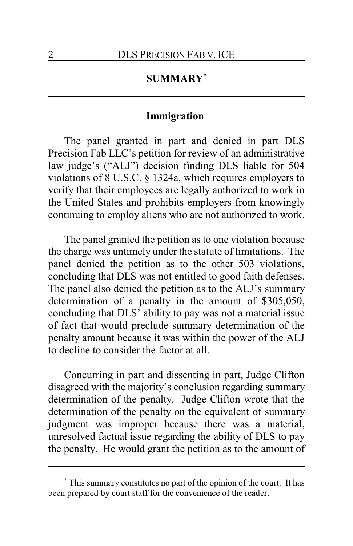# **SUMMARY\***

### **Immigration**

The panel granted in part and denied in part DLS Precision Fab LLC's petition for review of an administrative law judge's ("ALJ") decision finding DLS liable for 504 violations of 8 U.S.C. § 1324a, which requires employers to verify that their employees are legally authorized to work in the United States and prohibits employers from knowingly continuing to employ aliens who are not authorized to work.

The panel granted the petition as to one violation because the charge was untimely under the statute of limitations. The panel denied the petition as to the other 503 violations, concluding that DLS was not entitled to good faith defenses. The panel also denied the petition as to the ALJ's summary determination of a penalty in the amount of \$305,050, concluding that DLS' ability to pay was not a material issue of fact that would preclude summary determination of the penalty amount because it was within the power of the ALJ to decline to consider the factor at all.

Concurring in part and dissenting in part, Judge Clifton disagreed with the majority's conclusion regarding summary determination of the penalty. Judge Clifton wrote that the determination of the penalty on the equivalent of summary judgment was improper because there was a material, unresolved factual issue regarding the ability of DLS to pay the penalty. He would grant the petition as to the amount of

**<sup>\*</sup>** This summary constitutes no part of the opinion of the court. It has been prepared by court staff for the convenience of the reader.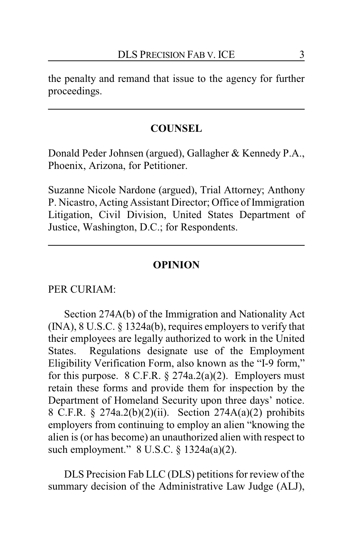the penalty and remand that issue to the agency for further proceedings.

### **COUNSEL**

Donald Peder Johnsen (argued), Gallagher & Kennedy P.A., Phoenix, Arizona, for Petitioner.

Suzanne Nicole Nardone (argued), Trial Attorney; Anthony P. Nicastro, Acting Assistant Director; Office of Immigration Litigation, Civil Division, United States Department of Justice, Washington, D.C.; for Respondents.

### **OPINION**

#### PER CURIAM:

Section 274A(b) of the Immigration and Nationality Act (INA), 8 U.S.C. § 1324a(b), requires employers to verify that their employees are legally authorized to work in the United States. Regulations designate use of the Employment Eligibility Verification Form, also known as the "I-9 form," for this purpose.  $8 \text{ C.F.R.}$   $\S 274a.2(a)(2)$ . Employers must retain these forms and provide them for inspection by the Department of Homeland Security upon three days' notice. 8 C.F.R. § 274a.2(b)(2)(ii). Section 274A(a)(2) prohibits employers from continuing to employ an alien "knowing the alien is (or has become) an unauthorized alien with respect to such employment." 8 U.S.C. § 1324a(a)(2).

DLS Precision Fab LLC (DLS) petitions for review of the summary decision of the Administrative Law Judge (ALJ),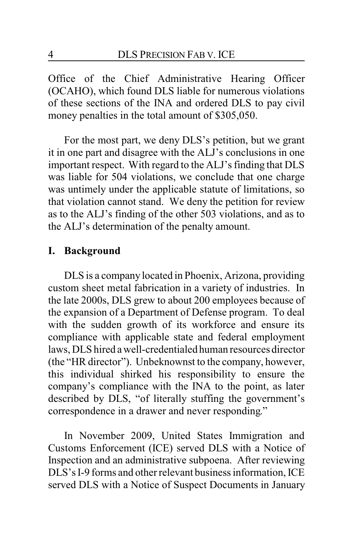Office of the Chief Administrative Hearing Officer (OCAHO), which found DLS liable for numerous violations of these sections of the INA and ordered DLS to pay civil money penalties in the total amount of \$305,050.

For the most part, we deny DLS's petition, but we grant it in one part and disagree with the ALJ's conclusions in one important respect. With regard to the ALJ's finding that DLS was liable for 504 violations, we conclude that one charge was untimely under the applicable statute of limitations, so that violation cannot stand. We deny the petition for review as to the ALJ's finding of the other 503 violations, and as to the ALJ's determination of the penalty amount.

# **I. Background**

DLS is a company located in Phoenix, Arizona, providing custom sheet metal fabrication in a variety of industries. In the late 2000s, DLS grew to about 200 employees because of the expansion of a Department of Defense program. To deal with the sudden growth of its workforce and ensure its compliance with applicable state and federal employment laws, DLS hired awell-credentialed human resources director (the "HR director"). Unbeknownst to the company, however, this individual shirked his responsibility to ensure the company's compliance with the INA to the point, as later described by DLS, "of literally stuffing the government's correspondence in a drawer and never responding."

In November 2009, United States Immigration and Customs Enforcement (ICE) served DLS with a Notice of Inspection and an administrative subpoena. After reviewing DLS's I-9 forms and other relevant business information, ICE served DLS with a Notice of Suspect Documents in January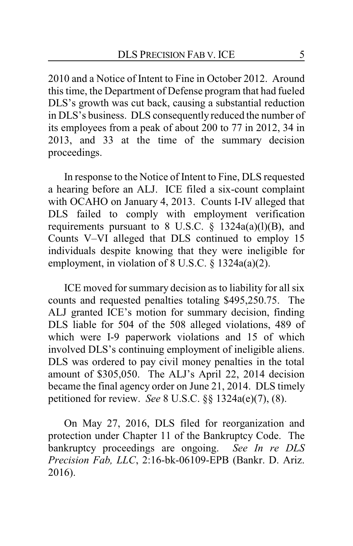2010 and a Notice of Intent to Fine in October 2012. Around this time, the Department of Defense program that had fueled DLS's growth was cut back, causing a substantial reduction in DLS's business. DLS consequently reduced the number of its employees from a peak of about 200 to 77 in 2012, 34 in 2013, and 33 at the time of the summary decision proceedings.

In response to the Notice of Intent to Fine, DLS requested a hearing before an ALJ. ICE filed a six-count complaint with OCAHO on January 4, 2013. Counts I-IV alleged that DLS failed to comply with employment verification requirements pursuant to 8 U.S.C.  $\S$  1324a(a)(l)(B), and Counts V–VI alleged that DLS continued to employ 15 individuals despite knowing that they were ineligible for employment, in violation of 8 U.S.C. § 1324a(a)(2).

ICE moved for summary decision as to liability for all six counts and requested penalties totaling \$495,250.75. The ALJ granted ICE's motion for summary decision, finding DLS liable for 504 of the 508 alleged violations, 489 of which were I-9 paperwork violations and 15 of which involved DLS's continuing employment of ineligible aliens. DLS was ordered to pay civil money penalties in the total amount of \$305,050. The ALJ's April 22, 2014 decision became the final agency order on June 21, 2014. DLS timely petitioned for review. *See* 8 U.S.C. §§ 1324a(e)(7), (8).

On May 27, 2016, DLS filed for reorganization and protection under Chapter 11 of the Bankruptcy Code. The bankruptcy proceedings are ongoing. *See In re DLS Precision Fab, LLC*, 2:16-bk-06109-EPB (Bankr. D. Ariz. 2016).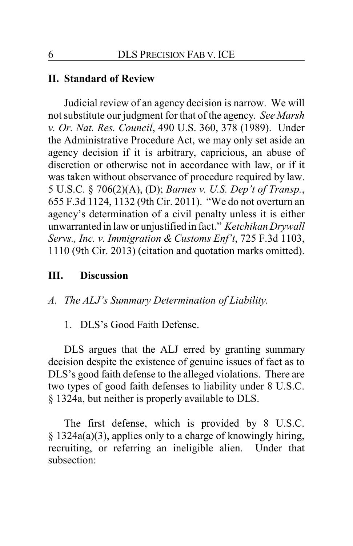### **II. Standard of Review**

Judicial review of an agency decision is narrow. We will not substitute our judgment for that of the agency. *See Marsh v. Or. Nat. Res. Council*, 490 U.S. 360, 378 (1989). Under the Administrative Procedure Act, we may only set aside an agency decision if it is arbitrary, capricious, an abuse of discretion or otherwise not in accordance with law, or if it was taken without observance of procedure required by law. 5 U.S.C. § 706(2)(A), (D); *Barnes v. U.S. Dep't of Transp.*, 655 F.3d 1124, 1132 (9th Cir. 2011). "We do not overturn an agency's determination of a civil penalty unless it is either unwarranted in law or unjustified in fact." *Ketchikan Drywall Servs., Inc. v. Immigration & Customs Enf't*, 725 F.3d 1103, 1110 (9th Cir. 2013) (citation and quotation marks omitted).

## **III. Discussion**

*A. The ALJ's Summary Determination of Liability.*

1. DLS's Good Faith Defense.

DLS argues that the ALJ erred by granting summary decision despite the existence of genuine issues of fact as to DLS's good faith defense to the alleged violations. There are two types of good faith defenses to liability under 8 U.S.C. § 1324a, but neither is properly available to DLS.

The first defense, which is provided by 8 U.S.C. § 1324a(a)(3), applies only to a charge of knowingly hiring, recruiting, or referring an ineligible alien. Under that subsection: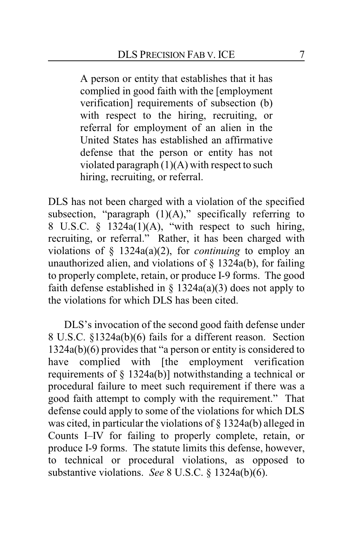A person or entity that establishes that it has complied in good faith with the [employment verification] requirements of subsection (b) with respect to the hiring, recruiting, or referral for employment of an alien in the United States has established an affirmative defense that the person or entity has not violated paragraph (1)(A) with respect to such hiring, recruiting, or referral.

DLS has not been charged with a violation of the specified subsection, "paragraph  $(1)(A)$ ," specifically referring to 8 U.S.C.  $\frac{1324a(1)(A)}{B}$ , "with respect to such hiring, recruiting, or referral." Rather, it has been charged with violations of § 1324a(a)(2), for *continuing* to employ an unauthorized alien, and violations of  $\S$  1324a(b), for failing to properly complete, retain, or produce I-9 forms. The good faith defense established in  $\S$  1324a(a)(3) does not apply to the violations for which DLS has been cited.

DLS's invocation of the second good faith defense under 8 U.S.C. §1324a(b)(6) fails for a different reason. Section 1324a(b)(6) provides that "a person or entity is considered to have complied with [the employment verification requirements of § 1324a(b)] notwithstanding a technical or procedural failure to meet such requirement if there was a good faith attempt to comply with the requirement." That defense could apply to some of the violations for which DLS was cited, in particular the violations of § 1324a(b) alleged in Counts I–IV for failing to properly complete, retain, or produce I-9 forms. The statute limits this defense, however, to technical or procedural violations, as opposed to substantive violations. *See* 8 U.S.C. § 1324a(b)(6).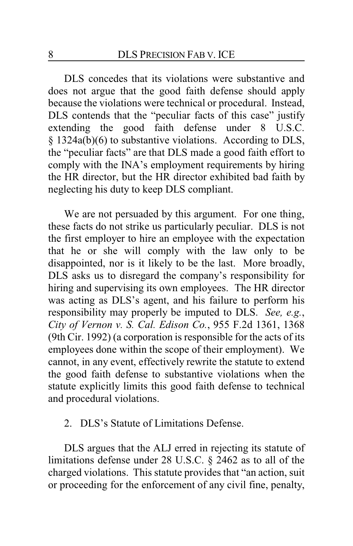DLS concedes that its violations were substantive and does not argue that the good faith defense should apply because the violations were technical or procedural. Instead, DLS contends that the "peculiar facts of this case" justify extending the good faith defense under 8 U.S.C. § 1324a(b)(6) to substantive violations. According to DLS, the "peculiar facts" are that DLS made a good faith effort to comply with the INA's employment requirements by hiring the HR director, but the HR director exhibited bad faith by neglecting his duty to keep DLS compliant.

We are not persuaded by this argument. For one thing, these facts do not strike us particularly peculiar. DLS is not the first employer to hire an employee with the expectation that he or she will comply with the law only to be disappointed, nor is it likely to be the last. More broadly, DLS asks us to disregard the company's responsibility for hiring and supervising its own employees. The HR director was acting as DLS's agent, and his failure to perform his responsibility may properly be imputed to DLS. *See, e.g.*, *City of Vernon v. S. Cal. Edison Co.*, 955 F.2d 1361, 1368 (9th Cir. 1992) (a corporation is responsible for the acts of its employees done within the scope of their employment). We cannot, in any event, effectively rewrite the statute to extend the good faith defense to substantive violations when the statute explicitly limits this good faith defense to technical and procedural violations.

### 2. DLS's Statute of Limitations Defense.

DLS argues that the ALJ erred in rejecting its statute of limitations defense under 28 U.S.C. § 2462 as to all of the charged violations. This statute provides that "an action, suit or proceeding for the enforcement of any civil fine, penalty,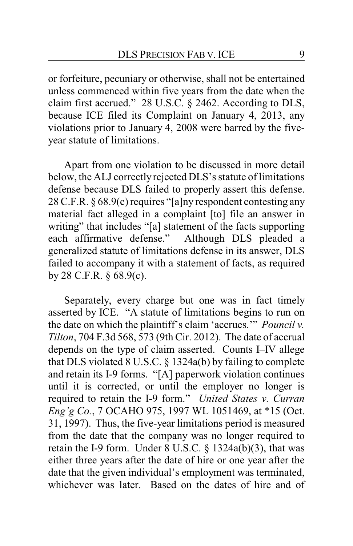or forfeiture, pecuniary or otherwise, shall not be entertained unless commenced within five years from the date when the claim first accrued." 28 U.S.C. § 2462. According to DLS, because ICE filed its Complaint on January 4, 2013, any violations prior to January 4, 2008 were barred by the fiveyear statute of limitations.

Apart from one violation to be discussed in more detail below, the ALJ correctly rejected DLS's statute of limitations defense because DLS failed to properly assert this defense. 28 C.F.R. § 68.9(c) requires "[a]ny respondent contesting any material fact alleged in a complaint [to] file an answer in writing" that includes "[a] statement of the facts supporting each affirmative defense." Although DLS pleaded a generalized statute of limitations defense in its answer, DLS failed to accompany it with a statement of facts, as required by 28 C.F.R. § 68.9(c).

Separately, every charge but one was in fact timely asserted by ICE. "A statute of limitations begins to run on the date on which the plaintiff's claim 'accrues.'" *Pouncil v. Tilton*, 704 F.3d 568, 573 (9th Cir. 2012). The date of accrual depends on the type of claim asserted. Counts I–IV allege that DLS violated 8 U.S.C. § 1324a(b) by failing to complete and retain its I-9 forms. "[A] paperwork violation continues until it is corrected, or until the employer no longer is required to retain the I-9 form." *United States v. Curran Eng'g Co.*, 7 OCAHO 975, 1997 WL 1051469, at \*15 (Oct. 31, 1997). Thus, the five-year limitations period is measured from the date that the company was no longer required to retain the I-9 form. Under 8 U.S.C. § 1324a(b)(3), that was either three years after the date of hire or one year after the date that the given individual's employment was terminated, whichever was later. Based on the dates of hire and of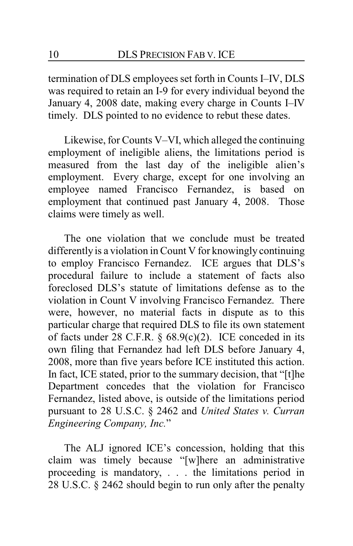termination of DLS employees set forth in Counts I–IV, DLS was required to retain an I-9 for every individual beyond the January 4, 2008 date, making every charge in Counts I–IV timely. DLS pointed to no evidence to rebut these dates.

Likewise, for Counts V–VI, which alleged the continuing employment of ineligible aliens, the limitations period is measured from the last day of the ineligible alien's employment. Every charge, except for one involving an employee named Francisco Fernandez, is based on employment that continued past January 4, 2008. Those claims were timely as well.

The one violation that we conclude must be treated differently is a violation in Count V for knowingly continuing to employ Francisco Fernandez. ICE argues that DLS's procedural failure to include a statement of facts also foreclosed DLS's statute of limitations defense as to the violation in Count V involving Francisco Fernandez. There were, however, no material facts in dispute as to this particular charge that required DLS to file its own statement of facts under 28 C.F.R. § 68.9(c)(2). ICE conceded in its own filing that Fernandez had left DLS before January 4, 2008, more than five years before ICE instituted this action. In fact, ICE stated, prior to the summary decision, that "[t]he Department concedes that the violation for Francisco Fernandez, listed above, is outside of the limitations period pursuant to 28 U.S.C. § 2462 and *United States v. Curran Engineering Company, Inc.*"

The ALJ ignored ICE's concession, holding that this claim was timely because "[w]here an administrative proceeding is mandatory, . . . the limitations period in 28 U.S.C. § 2462 should begin to run only after the penalty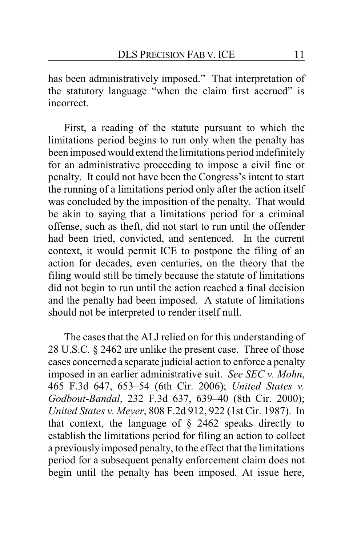has been administratively imposed." That interpretation of the statutory language "when the claim first accrued" is incorrect.

First, a reading of the statute pursuant to which the limitations period begins to run only when the penalty has been imposed would extend the limitations period indefinitely for an administrative proceeding to impose a civil fine or penalty. It could not have been the Congress's intent to start the running of a limitations period only after the action itself was concluded by the imposition of the penalty. That would be akin to saying that a limitations period for a criminal offense, such as theft, did not start to run until the offender had been tried, convicted, and sentenced. In the current context, it would permit ICE to postpone the filing of an action for decades, even centuries, on the theory that the filing would still be timely because the statute of limitations did not begin to run until the action reached a final decision and the penalty had been imposed. A statute of limitations should not be interpreted to render itself null.

The cases that the ALJ relied on for this understanding of 28 U.S.C. § 2462 are unlike the present case. Three of those cases concerned a separate judicial action to enforce a penalty imposed in an earlier administrative suit. *See SEC v. Mohn*, 465 F.3d 647, 653–54 (6th Cir. 2006); *United States v. Godbout-Bandal*, 232 F.3d 637, 639–40 (8th Cir. 2000); *United States v. Meyer*, 808 F.2d 912, 922 (1st Cir. 1987). In that context, the language of § 2462 speaks directly to establish the limitations period for filing an action to collect a previously imposed penalty, to the effect that the limitations period for a subsequent penalty enforcement claim does not begin until the penalty has been imposed*.* At issue here,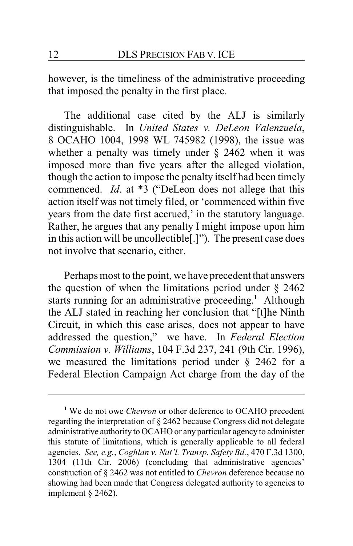however, is the timeliness of the administrative proceeding that imposed the penalty in the first place.

The additional case cited by the ALJ is similarly distinguishable. In *United States v. DeLeon Valenzuela*, 8 OCAHO 1004, 1998 WL 745982 (1998), the issue was whether a penalty was timely under  $\S$  2462 when it was imposed more than five years after the alleged violation, though the action to impose the penalty itself had been timely commenced. *Id*. at \*3 ("DeLeon does not allege that this action itself was not timely filed, or 'commenced within five years from the date first accrued,' in the statutory language. Rather, he argues that any penalty I might impose upon him in this action will be uncollectible[.]"). The present case does not involve that scenario, either.

Perhaps most to the point, we have precedent that answers the question of when the limitations period under  $\S$  2462 starts running for an administrative proceeding. **<sup>1</sup>** Although the ALJ stated in reaching her conclusion that "[t]he Ninth Circuit, in which this case arises, does not appear to have addressed the question," we have. In *Federal Election Commission v. Williams*, 104 F.3d 237, 241 (9th Cir. 1996), we measured the limitations period under § 2462 for a Federal Election Campaign Act charge from the day of the

**<sup>1</sup>** We do not owe *Chevron* or other deference to OCAHO precedent regarding the interpretation of § 2462 because Congress did not delegate administrative authority to OCAHO or any particular agency to administer this statute of limitations, which is generally applicable to all federal agencies. *See, e.g.*, *Coghlan v. Nat'l. Transp. Safety Bd.*, 470 F.3d 1300, 1304 (11th Cir. 2006) (concluding that administrative agencies' construction of § 2462 was not entitled to *Chevron* deference because no showing had been made that Congress delegated authority to agencies to implement § 2462).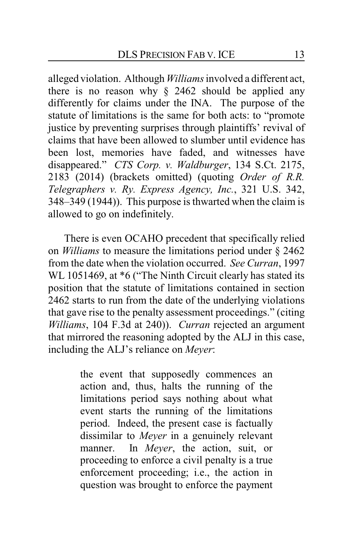alleged violation. Although *Williams*involved a different act, there is no reason why  $\S$  2462 should be applied any differently for claims under the INA. The purpose of the statute of limitations is the same for both acts: to "promote justice by preventing surprises through plaintiffs' revival of claims that have been allowed to slumber until evidence has been lost, memories have faded, and witnesses have disappeared." *CTS Corp. v. Waldburger*, 134 S.Ct. 2175, 2183 (2014) (brackets omitted) (quoting *Order of R.R. Telegraphers v. Ry. Express Agency, Inc.*, 321 U.S. 342, 348–349 (1944)). This purpose is thwarted when the claim is allowed to go on indefinitely.

There is even OCAHO precedent that specifically relied on *Williams* to measure the limitations period under § 2462 from the date when the violation occurred. *See Curran*, 1997 WL 1051469, at  $*6$  ("The Ninth Circuit clearly has stated its position that the statute of limitations contained in section 2462 starts to run from the date of the underlying violations that gave rise to the penalty assessment proceedings." (citing *Williams*, 104 F.3d at 240)). *Curran* rejected an argument that mirrored the reasoning adopted by the ALJ in this case, including the ALJ's reliance on *Meyer*:

> the event that supposedly commences an action and, thus, halts the running of the limitations period says nothing about what event starts the running of the limitations period. Indeed, the present case is factually dissimilar to *Meyer* in a genuinely relevant manner. In *Meyer*, the action, suit, or proceeding to enforce a civil penalty is a true enforcement proceeding; i.e., the action in question was brought to enforce the payment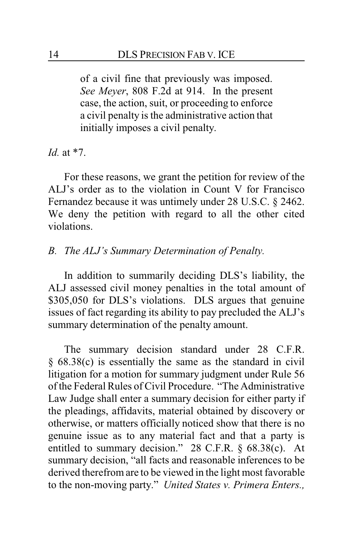of a civil fine that previously was imposed. *See Meyer*, 808 F.2d at 914. In the present case, the action, suit, or proceeding to enforce a civil penalty is the administrative action that initially imposes a civil penalty.

*Id.* at \*7.

For these reasons, we grant the petition for review of the ALJ's order as to the violation in Count V for Francisco Fernandez because it was untimely under 28 U.S.C. § 2462. We deny the petition with regard to all the other cited violations.

# *B. The ALJ's Summary Determination of Penalty.*

In addition to summarily deciding DLS's liability, the ALJ assessed civil money penalties in the total amount of \$305,050 for DLS's violations. DLS argues that genuine issues of fact regarding its ability to pay precluded the ALJ's summary determination of the penalty amount.

The summary decision standard under 28 C.F.R. § 68.38(c) is essentially the same as the standard in civil litigation for a motion for summary judgment under Rule 56 of the Federal Rules of Civil Procedure. "The Administrative Law Judge shall enter a summary decision for either party if the pleadings, affidavits, material obtained by discovery or otherwise, or matters officially noticed show that there is no genuine issue as to any material fact and that a party is entitled to summary decision." 28 C.F.R. § 68.38(c). At summary decision, "all facts and reasonable inferences to be derived therefrom are to be viewed in the light most favorable to the non-moving party." *United States v. Primera Enters.,*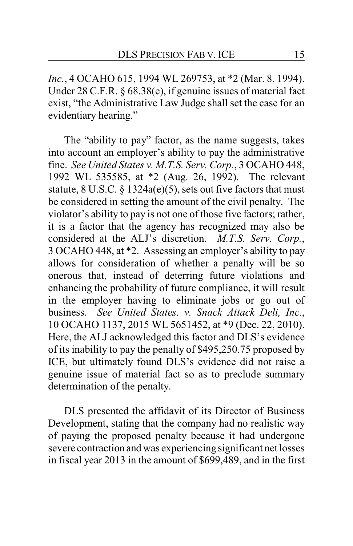*Inc.*, 4 OCAHO 615, 1994 WL 269753, at \*2 (Mar. 8, 1994). Under 28 C.F.R. § 68.38(e), if genuine issues of material fact exist, "the Administrative Law Judge shall set the case for an evidentiary hearing."

The "ability to pay" factor, as the name suggests, takes into account an employer's ability to pay the administrative fine. *See United States v. M.T.S. Serv. Corp.*, 3 OCAHO 448, 1992 WL 535585, at \*2 (Aug. 26, 1992). The relevant statute, 8 U.S.C. § 1324a(e)(5), sets out five factors that must be considered in setting the amount of the civil penalty. The violator's ability to pay is not one of those five factors; rather, it is a factor that the agency has recognized may also be considered at the ALJ's discretion. *M.T.S. Serv. Corp.*, 3 OCAHO 448, at \*2. Assessing an employer's ability to pay allows for consideration of whether a penalty will be so onerous that, instead of deterring future violations and enhancing the probability of future compliance, it will result in the employer having to eliminate jobs or go out of business. *See United States. v. Snack Attack Deli, Inc.*, 10 OCAHO 1137, 2015 WL 5651452, at \*9 (Dec. 22, 2010). Here, the ALJ acknowledged this factor and DLS's evidence of its inability to pay the penalty of \$495,250.75 proposed by ICE, but ultimately found DLS's evidence did not raise a genuine issue of material fact so as to preclude summary determination of the penalty.

DLS presented the affidavit of its Director of Business Development, stating that the company had no realistic way of paying the proposed penalty because it had undergone severe contraction and was experiencing significant net losses in fiscal year 2013 in the amount of \$699,489, and in the first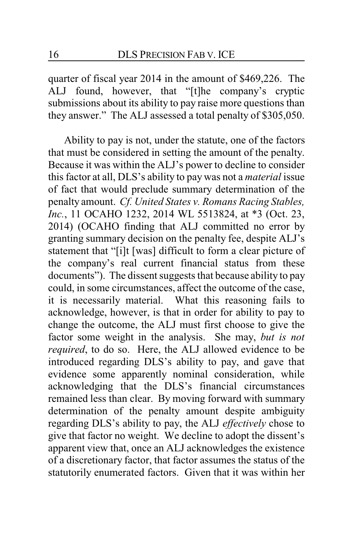quarter of fiscal year 2014 in the amount of \$469,226. The ALJ found, however, that "[t]he company's cryptic submissions about its ability to pay raise more questions than they answer." The ALJ assessed a total penalty of \$305,050.

Ability to pay is not, under the statute, one of the factors that must be considered in setting the amount of the penalty. Because it was within the ALJ's power to decline to consider this factor at all, DLS's ability to pay was not a *material* issue of fact that would preclude summary determination of the penalty amount. *Cf. United States v. Romans Racing Stables, Inc.*, 11 OCAHO 1232, 2014 WL 5513824, at \*3 (Oct. 23, 2014) (OCAHO finding that ALJ committed no error by granting summary decision on the penalty fee, despite ALJ's statement that "[i]t [was] difficult to form a clear picture of the company's real current financial status from these documents"). The dissent suggests that because ability to pay could, in some circumstances, affect the outcome of the case, it is necessarily material. What this reasoning fails to acknowledge, however, is that in order for ability to pay to change the outcome, the ALJ must first choose to give the factor some weight in the analysis. She may, *but is not required*, to do so. Here, the ALJ allowed evidence to be introduced regarding DLS's ability to pay, and gave that evidence some apparently nominal consideration, while acknowledging that the DLS's financial circumstances remained less than clear. By moving forward with summary determination of the penalty amount despite ambiguity regarding DLS's ability to pay, the ALJ *effectively* chose to give that factor no weight. We decline to adopt the dissent's apparent view that, once an ALJ acknowledges the existence of a discretionary factor, that factor assumes the status of the statutorily enumerated factors. Given that it was within her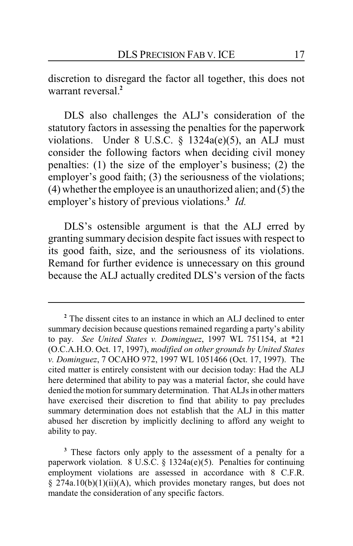discretion to disregard the factor all together, this does not warrant reversal.**<sup>2</sup>**

DLS also challenges the ALJ's consideration of the statutory factors in assessing the penalties for the paperwork violations. Under 8 U.S.C. § 1324a(e)(5), an ALJ must consider the following factors when deciding civil money penalties: (1) the size of the employer's business; (2) the employer's good faith; (3) the seriousness of the violations: (4) whether the employee is an unauthorized alien; and (5) the employer's history of previous violations.**<sup>3</sup>** *Id.*

DLS's ostensible argument is that the ALJ erred by granting summary decision despite fact issues with respect to its good faith, size, and the seriousness of its violations. Remand for further evidence is unnecessary on this ground because the ALJ actually credited DLS's version of the facts

**<sup>2</sup>** The dissent cites to an instance in which an ALJ declined to enter summary decision because questions remained regarding a party's ability to pay. *See United States v. Dominguez*, 1997 WL 751154, at \*21 (O.C.A.H.O. Oct. 17, 1997), *modified on other grounds by United States v. Dominguez*, 7 OCAHO 972, 1997 WL 1051466 (Oct. 17, 1997). The cited matter is entirely consistent with our decision today: Had the ALJ here determined that ability to pay was a material factor, she could have denied the motion for summary determination. That ALJs in other matters have exercised their discretion to find that ability to pay precludes summary determination does not establish that the ALJ in this matter abused her discretion by implicitly declining to afford any weight to ability to pay.

**<sup>3</sup>** These factors only apply to the assessment of a penalty for a paperwork violation. 8 U.S.C. § 1324a(e)(5). Penalties for continuing employment violations are assessed in accordance with 8 C.F.R. § 274a.10(b)(1)(ii)(A), which provides monetary ranges, but does not mandate the consideration of any specific factors.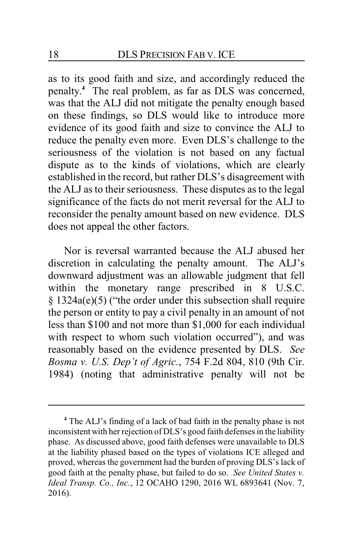as to its good faith and size, and accordingly reduced the penalty. **<sup>4</sup>** The real problem, as far as DLS was concerned, was that the ALJ did not mitigate the penalty enough based on these findings, so DLS would like to introduce more evidence of its good faith and size to convince the ALJ to reduce the penalty even more. Even DLS's challenge to the seriousness of the violation is not based on any factual dispute as to the kinds of violations, which are clearly established in the record, but rather DLS's disagreement with the ALJ as to their seriousness. These disputes as to the legal significance of the facts do not merit reversal for the ALJ to reconsider the penalty amount based on new evidence. DLS does not appeal the other factors.

Nor is reversal warranted because the ALJ abused her discretion in calculating the penalty amount. The ALJ's downward adjustment was an allowable judgment that fell within the monetary range prescribed in 8 U.S.C. § 1324a(e)(5) ("the order under this subsection shall require the person or entity to pay a civil penalty in an amount of not less than \$100 and not more than \$1,000 for each individual with respect to whom such violation occurred"), and was reasonably based on the evidence presented by DLS. *See Bosma v. U.S. Dep't of Agric.*, 754 F.2d 804, 810 (9th Cir. 1984) (noting that administrative penalty will not be

**<sup>4</sup>** The ALJ's finding of a lack of bad faith in the penalty phase is not inconsistent with her rejection of DLS's good faith defenses in the liability phase. As discussed above, good faith defenses were unavailable to DLS at the liability phased based on the types of violations ICE alleged and proved, whereas the government had the burden of proving DLS's lack of good faith at the penalty phase, but failed to do so. *See United States v. Ideal Transp. Co., Inc.*, 12 OCAHO 1290, 2016 WL 6893641 (Nov. 7, 2016).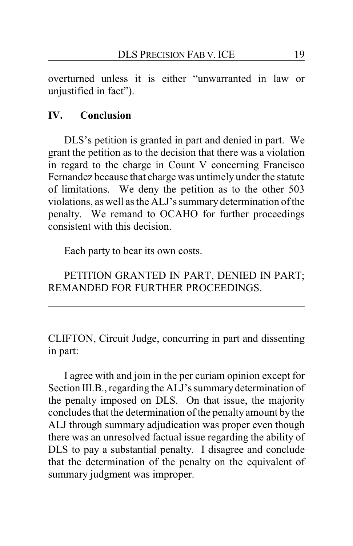overturned unless it is either "unwarranted in law or unjustified in fact").

# **IV. Conclusion**

DLS's petition is granted in part and denied in part. We grant the petition as to the decision that there was a violation in regard to the charge in Count V concerning Francisco Fernandez because that charge was untimely under the statute of limitations. We deny the petition as to the other 503 violations, as well as the ALJ's summary determination of the penalty. We remand to OCAHO for further proceedings consistent with this decision.

Each party to bear its own costs.

PETITION GRANTED IN PART, DENIED IN PART; REMANDED FOR FURTHER PROCEEDINGS.

CLIFTON, Circuit Judge, concurring in part and dissenting in part:

I agree with and join in the per curiam opinion except for Section III.B., regarding the ALJ's summary determination of the penalty imposed on DLS. On that issue, the majority concludes that the determination of the penalty amount by the ALJ through summary adjudication was proper even though there was an unresolved factual issue regarding the ability of DLS to pay a substantial penalty. I disagree and conclude that the determination of the penalty on the equivalent of summary judgment was improper.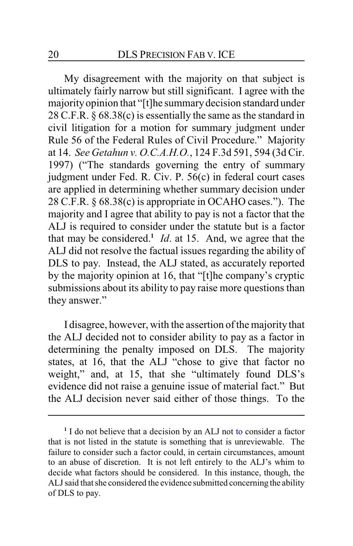My disagreement with the majority on that subject is ultimately fairly narrow but still significant. I agree with the majorityopinion that "[t]he summarydecision standard under 28 C.F.R. § 68.38(c) is essentially the same as the standard in civil litigation for a motion for summary judgment under Rule 56 of the Federal Rules of Civil Procedure." Majority at 14. *See Getahun v. O.C.A.H.O.*, 124 F.3d 591, 594 (3d Cir. 1997) ("The standards governing the entry of summary judgment under Fed. R. Civ. P. 56(c) in federal court cases are applied in determining whether summary decision under 28 C.F.R. § 68.38(c) is appropriate in OCAHO cases."). The majority and I agree that ability to pay is not a factor that the ALJ is required to consider under the statute but is a factor that may be considered.**<sup>1</sup>** *Id*. at 15. And, we agree that the ALJ did not resolve the factual issues regarding the ability of DLS to pay. Instead, the ALJ stated, as accurately reported by the majority opinion at 16, that "[t]he company's cryptic submissions about its ability to pay raise more questions than they answer."

I disagree, however, with the assertion of the majority that the ALJ decided not to consider ability to pay as a factor in determining the penalty imposed on DLS. The majority states, at 16, that the ALJ "chose to give that factor no weight," and, at 15, that she "ultimately found DLS's evidence did not raise a genuine issue of material fact." But the ALJ decision never said either of those things. To the

**<sup>1</sup>** I do not believe that a decision by an ALJ not to consider a factor that is not listed in the statute is something that is unreviewable. The failure to consider such a factor could, in certain circumstances, amount to an abuse of discretion. It is not left entirely to the ALJ's whim to decide what factors should be considered. In this instance, though, the ALJsaid that she considered the evidence submitted concerning the ability of DLS to pay.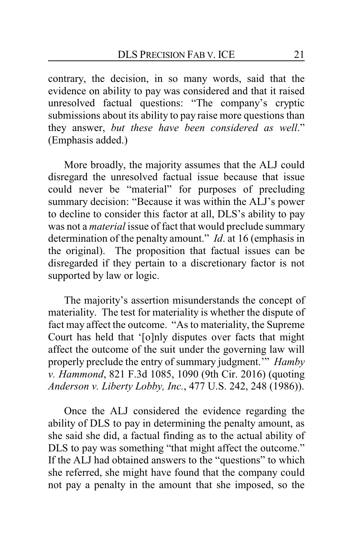contrary, the decision, in so many words, said that the evidence on ability to pay was considered and that it raised unresolved factual questions: "The company's cryptic submissions about its ability to pay raise more questions than they answer, *but these have been considered as well*." (Emphasis added.)

More broadly, the majority assumes that the ALJ could disregard the unresolved factual issue because that issue could never be "material" for purposes of precluding summary decision: "Because it was within the ALJ's power to decline to consider this factor at all, DLS's ability to pay was not a *material* issue of fact that would preclude summary determination of the penalty amount." *Id*. at 16 (emphasis in the original). The proposition that factual issues can be disregarded if they pertain to a discretionary factor is not supported by law or logic.

The majority's assertion misunderstands the concept of materiality. The test for materiality is whether the dispute of fact may affect the outcome. "As to materiality, the Supreme Court has held that '[o]nly disputes over facts that might affect the outcome of the suit under the governing law will properly preclude the entry of summary judgment.'" *Hamby v. Hammond*, 821 F.3d 1085, 1090 (9th Cir. 2016) (quoting *Anderson v. Liberty Lobby, Inc.*, 477 U.S. 242, 248 (1986)).

Once the ALJ considered the evidence regarding the ability of DLS to pay in determining the penalty amount, as she said she did, a factual finding as to the actual ability of DLS to pay was something "that might affect the outcome." If the ALJ had obtained answers to the "questions" to which she referred, she might have found that the company could not pay a penalty in the amount that she imposed, so the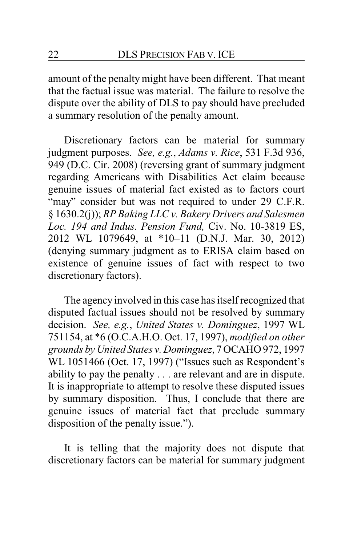amount of the penalty might have been different. That meant that the factual issue was material. The failure to resolve the dispute over the ability of DLS to pay should have precluded a summary resolution of the penalty amount.

Discretionary factors can be material for summary judgment purposes. *See, e.g.*, *Adams v. Rice*, 531 F.3d 936, 949 (D.C. Cir. 2008) (reversing grant of summary judgment regarding Americans with Disabilities Act claim because genuine issues of material fact existed as to factors court "may" consider but was not required to under 29 C.F.R. § 1630.2(j)); *RP Baking LLC v. Bakery Drivers and Salesmen Loc. 194 and Indus. Pension Fund,* Civ. No. 10-3819 ES, 2012 WL 1079649, at \*10–11 (D.N.J. Mar. 30, 2012) (denying summary judgment as to ERISA claim based on existence of genuine issues of fact with respect to two discretionary factors).

The agency involved in this case has itself recognized that disputed factual issues should not be resolved by summary decision. *See, e.g.*, *United States v. Dominguez*, 1997 WL 751154, at \*6 (O.C.A.H.O. Oct. 17, 1997), *modified on other grounds by United States v. Dominguez*, 7 OCAHO 972, 1997 WL 1051466 (Oct. 17, 1997) ("Issues such as Respondent's ability to pay the penalty . . . are relevant and are in dispute. It is inappropriate to attempt to resolve these disputed issues by summary disposition. Thus, I conclude that there are genuine issues of material fact that preclude summary disposition of the penalty issue.").

It is telling that the majority does not dispute that discretionary factors can be material for summary judgment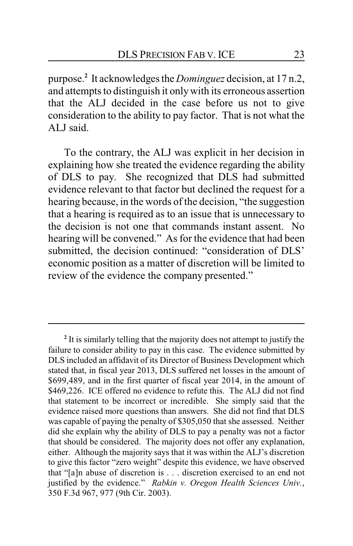purpose.**<sup>2</sup>** It acknowledges the *Dominguez* decision, at 17 n.2, and attempts to distinguish it onlywith its erroneous assertion that the ALJ decided in the case before us not to give consideration to the ability to pay factor. That is not what the ALJ said.

To the contrary, the ALJ was explicit in her decision in explaining how she treated the evidence regarding the ability of DLS to pay. She recognized that DLS had submitted evidence relevant to that factor but declined the request for a hearing because, in the words of the decision, "the suggestion that a hearing is required as to an issue that is unnecessary to the decision is not one that commands instant assent. No hearing will be convened." As for the evidence that had been submitted, the decision continued: "consideration of DLS' economic position as a matter of discretion will be limited to review of the evidence the company presented."

**<sup>2</sup>** It is similarly telling that the majority does not attempt to justify the failure to consider ability to pay in this case. The evidence submitted by DLS included an affidavit of its Director of Business Development which stated that, in fiscal year 2013, DLS suffered net losses in the amount of \$699,489, and in the first quarter of fiscal year 2014, in the amount of \$469,226. ICE offered no evidence to refute this. The ALJ did not find that statement to be incorrect or incredible. She simply said that the evidence raised more questions than answers. She did not find that DLS was capable of paying the penalty of \$305,050 that she assessed. Neither did she explain why the ability of DLS to pay a penalty was not a factor that should be considered. The majority does not offer any explanation, either. Although the majority says that it was within the ALJ's discretion to give this factor "zero weight" despite this evidence, we have observed that "[a]n abuse of discretion is . . . discretion exercised to an end not justified by the evidence." *Rabkin v. Oregon Health Sciences Univ.*, 350 F.3d 967, 977 (9th Cir. 2003).